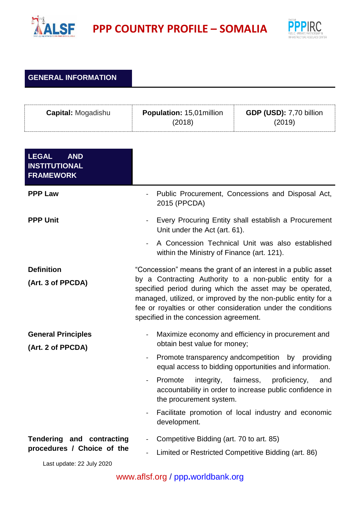



## **GENERAL INFORMATION**

| <b>Capital: Mogadishu</b>                                                            | Population: 15,01 million<br>(2018)                                                                                                                                                                         | GDP (USD): 7,70 billion<br>(2019)                                                                                                                                                                                                                                                |
|--------------------------------------------------------------------------------------|-------------------------------------------------------------------------------------------------------------------------------------------------------------------------------------------------------------|----------------------------------------------------------------------------------------------------------------------------------------------------------------------------------------------------------------------------------------------------------------------------------|
| <b>LEGAL</b><br><b>AND</b><br><b>INSTITUTIONAL</b><br><b>FRAMEWORK</b>               |                                                                                                                                                                                                             |                                                                                                                                                                                                                                                                                  |
| <b>PPP Law</b>                                                                       | $\overline{\phantom{a}}$<br>2015 (PPCDA)                                                                                                                                                                    | Public Procurement, Concessions and Disposal Act,                                                                                                                                                                                                                                |
| <b>PPP Unit</b>                                                                      | $\blacksquare$<br>Unit under the Act (art. 61).<br>within the Ministry of Finance (art. 121).                                                                                                               | Every Procuring Entity shall establish a Procurement<br>A Concession Technical Unit was also established                                                                                                                                                                         |
| <b>Definition</b><br>(Art. 3 of PPCDA)                                               | fee or royalties or other consideration under the conditions<br>specified in the concession agreement.                                                                                                      | "Concession" means the grant of an interest in a public asset<br>by a Contracting Authority to a non-public entity for a<br>specified period during which the asset may be operated,<br>managed, utilized, or improved by the non-public entity for a                            |
| <b>General Principles</b><br>(Art. 2 of PPCDA)                                       | obtain best value for money;<br>Promote transparency and competition by<br>$\blacksquare$<br>Promote<br>integrity,<br>$\blacksquare$<br>the procurement system.<br>$\overline{\phantom{a}}$<br>development. | Maximize economy and efficiency in procurement and<br>providing<br>equal access to bidding opportunities and information.<br>fairness,<br>proficiency,<br>and<br>accountability in order to increase public confidence in<br>Facilitate promotion of local industry and economic |
| Tendering and contracting<br>procedures / Choice of the<br>Last update: 22 July 2020 | Competitive Bidding (art. 70 to art. 85)                                                                                                                                                                    | Limited or Restricted Competitive Bidding (art. 86)                                                                                                                                                                                                                              |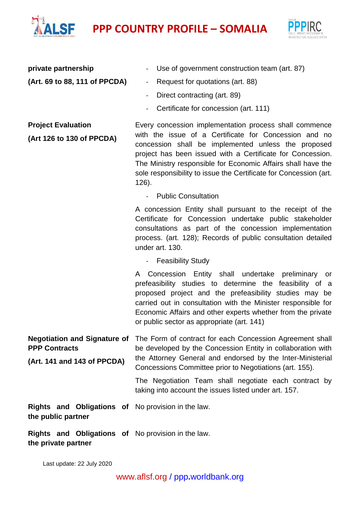## **PPP COUNTRY PROFILE – SOMALIA**



| private partnership                                                                        | Use of government construction team (art. 87)                                                                                                                                                                                                                                                                                                             |
|--------------------------------------------------------------------------------------------|-----------------------------------------------------------------------------------------------------------------------------------------------------------------------------------------------------------------------------------------------------------------------------------------------------------------------------------------------------------|
| (Art. 69 to 88, 111 of PPCDA)                                                              | Request for quotations (art. 88)<br>$\blacksquare$                                                                                                                                                                                                                                                                                                        |
|                                                                                            | Direct contracting (art. 89)                                                                                                                                                                                                                                                                                                                              |
|                                                                                            | Certificate for concession (art. 111)                                                                                                                                                                                                                                                                                                                     |
| <b>Project Evaluation</b><br>(Art 126 to 130 of PPCDA)                                     | Every concession implementation process shall commence<br>with the issue of a Certificate for Concession and no<br>concession shall be implemented unless the proposed<br>project has been issued with a Certificate for Concession.<br>The Ministry responsible for Economic Affairs shall have the                                                      |
|                                                                                            | sole responsibility to issue the Certificate for Concession (art.<br>126).                                                                                                                                                                                                                                                                                |
|                                                                                            | <b>Public Consultation</b>                                                                                                                                                                                                                                                                                                                                |
|                                                                                            | A concession Entity shall pursuant to the receipt of the<br>Certificate for Concession undertake public stakeholder<br>consultations as part of the concession implementation<br>process. (art. 128); Records of public consultation detailed<br>under art. 130.                                                                                          |
|                                                                                            | - Feasibility Study                                                                                                                                                                                                                                                                                                                                       |
|                                                                                            | Concession Entity shall undertake preliminary or<br>A<br>prefeasibility studies to determine the feasibility of a<br>proposed project and the prefeasibility studies may be<br>carried out in consultation with the Minister responsible for<br>Economic Affairs and other experts whether from the private<br>or public sector as appropriate (art. 141) |
| <b>Negotiation and Signature of</b><br><b>PPP Contracts</b><br>(Art. 141 and 143 of PPCDA) | The Form of contract for each Concession Agreement shall<br>be developed by the Concession Entity in collaboration with<br>the Attorney General and endorsed by the Inter-Ministerial                                                                                                                                                                     |
|                                                                                            | Concessions Committee prior to Negotiations (art. 155).                                                                                                                                                                                                                                                                                                   |
|                                                                                            | The Negotiation Team shall negotiate each contract by<br>taking into account the issues listed under art. 157.                                                                                                                                                                                                                                            |
| Rights and Obligations of No provision in the law.<br>the public partner                   |                                                                                                                                                                                                                                                                                                                                                           |
| Rights and Obligations of No provision in the law.<br>the private partner                  |                                                                                                                                                                                                                                                                                                                                                           |

Last update: 22 July 2020